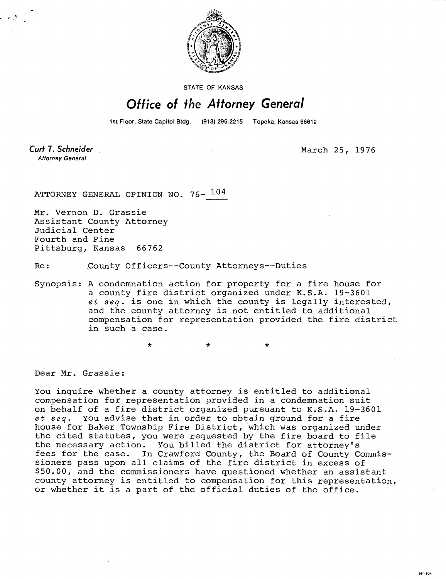

**STATE OF KANSAS** 

## Office of the Attorney General

1st Floor, State Capitol Bldg.

Curt T. Schneider **Attorney General** 

March 25, 1976

ATTORNEY GENERAL OPINION NO. 76- 104

Mr. Vernon D. Grassie Assistant County Attorney Judicial Center Fourth and Pine Pittsburg, Kansas 66762

Re: County Officers--County Attorneys--Duties

÷

Synopsis: A condemnation action for property for a fire house for a county fire district organized under K.S.A. 19-3601 et seq. is one in which the county is legally interested, and the county attorney is not entitled to additional compensation for representation provided the fire district in such a case.

Dear Mr. Grassie:

You inquire whether a county attorney is entitled to additional compensation for representation provided in a condemnation suit on behalf of a fire district organized pursuant to K.S.A. 19-3601 et seq. You advise that in order to obtain ground for a fire house for Baker Township Fire District, which was organized under the cited statutes, you were requested by the fire board to file the necessary action. You billed the district for attorney's fees for the case. In Crawford County, the Board of County Commissioners pass upon all claims of the fire district in excess of \$50.00, and the commissioners have questioned whether an assistant county attorney is entitled to compensation for this representation, or whether it is a part of the official duties of the office.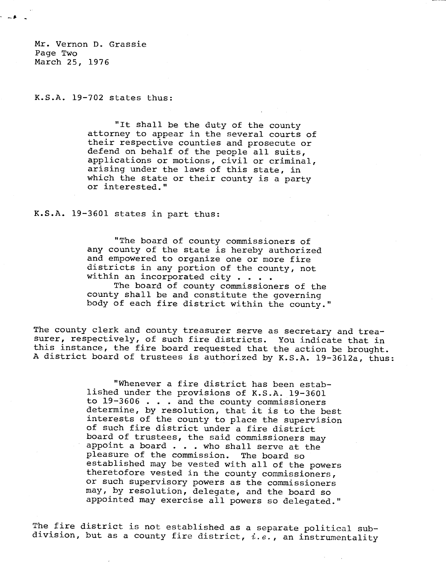Mr. Vernon D. Grassie Page Two March 25, 1976

ا ه ب⊸

K.S.A. 19-702 states thus:

"It shall be the duty of the county attorney to appear in the several courts of their respective counties and prosecute or defend on behalf of the people all suits, applications or motions, civil or criminal, arising under the laws of this state, in which the state or their county is a party or interested."

## K.S.A. 19-3601 states in part thus:

"The board of county commissioners of any county of the state is hereby authorized and empowered to organize one or more fire districts in any portion of the county, not within an incorporated city . . . .

The board of county commissioners of the county shall be and constitute the governing body of each fire district within the county."

The county clerk and county treasurer serve as secretary and treasurer, respectively, of such fire districts. You indicate that in this instance, the fire board requested that the action be brought. A district board of trustees is authorized by K.S.A. 19-3612a, thus:

> "Whenever a fire district has been established under the provisions of K.S.A. 19-3601 to 19-3606 . . . and the county commissioners determine, by resolution, that it is to the best interests of the county to place the supervision of such fire district under a fire district board of trustees, the said commissioners may appoint a board . . . who shall serve at the pleasure of the commission. The board so established may be vested with all of the powers theretofore vested in the county commissioners, or such supervisory powers as the commissioners may, by resolution, delegate, and the board so appointed may exercise all powers so delegated."

The fire district is not established as a separate political subdivision, but as a county fire district,  $i.e.,$  an instrumentality